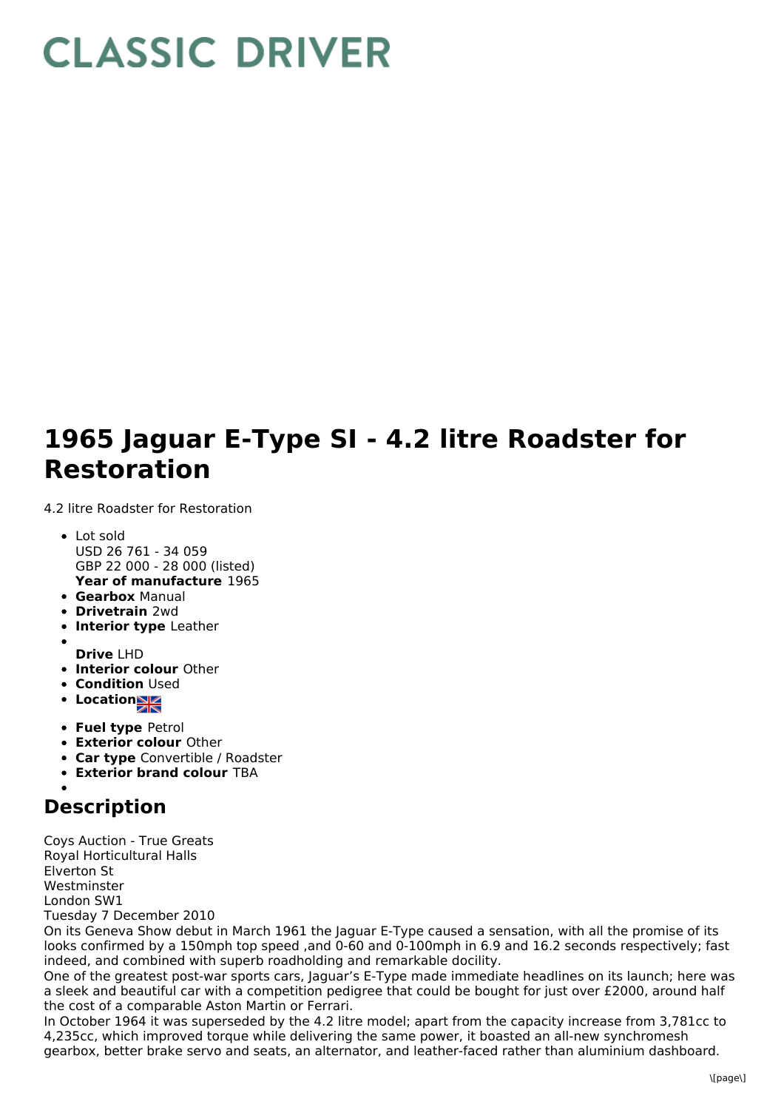## **CLASSIC DRIVER**

## **1965 Jaguar E-Type SI - 4.2 litre Roadster for Restoration**

4.2 litre Roadster for Restoration

- **Year of manufacture** 1965 • Lot sold USD 26 761 - 34 059 GBP 22 000 - 28 000 (listed)
- **Gearbox** Manual
- **Drivetrain** 2wd
- **Interior type** Leather
- **Drive** LHD
- **Interior colour** Other
- **Condition Used**
- **Location**
- **Fuel type** Petrol
- **Exterior colour** Other
- **Car type** Convertible / Roadster
- **Exterior brand colour** TBA

## **Description**

Coys Auction - True Greats Royal Horticultural Halls Elverton St **Westminster** London SW1 Tuesday 7 December 2010

On its Geneva Show debut in March 1961 the Jaguar E-Type caused a sensation, with all the promise of its looks confirmed by a 150mph top speed ,and 0-60 and 0-100mph in 6.9 and 16.2 seconds respectively; fast indeed, and combined with superb roadholding and remarkable docility.

One of the greatest post-war sports cars, Jaguar's E-Type made immediate headlines on its launch; here was a sleek and beautiful car with a competition pedigree that could be bought for just over £2000, around half the cost of a comparable Aston Martin or Ferrari.

In October 1964 it was superseded by the 4.2 litre model; apart from the capacity increase from 3,781cc to 4,235cc, which improved torque while delivering the same power, it boasted an all-new synchromesh gearbox, better brake servo and seats, an alternator, and leather-faced rather than aluminium dashboard.